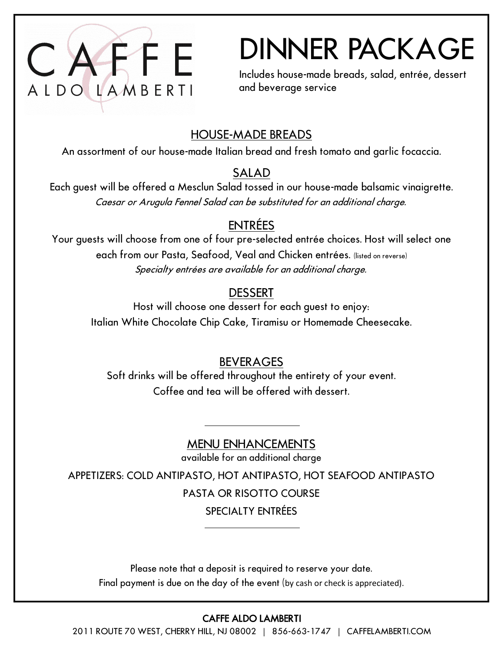

## DINNER PACKAGE

Includes house-made breads, salad, entrée, dessert and beverage service

## HOUSE-MADE BREADS

An assortment of our house-made Italian bread and fresh tomato and garlic focaccia.

#### SALAD

Each guest will be offered a Mesclun Salad tossed in our house-made balsamic vinaigrette. Caesar or Arugula Fennel Salad can be substituted for an additional charge.

## ENTRÉES

Your guests will choose from one of four pre-selected entrée choices. Host will select one each from our Pasta, Seafood, Veal and Chicken entrées. (listed on reverse) Specialty entrées are available for an additional charge.

## **DESSERT**

Host will choose one dessert for each guest to enjoy: Italian White Chocolate Chip Cake, Tiramisu or Homemade Cheesecake.

### BEVERAGES

Soft drinks will be offered throughout the entirety of your event. Coffee and tea will be offered with dessert.

## MENU ENHANCEMENTS

available for an additional charge

APPETIZERS: COLD ANTIPASTO, HOT ANTIPASTO, HOT SEAFOOD ANTIPASTO PASTA OR RISOTTO COURSE SPECIALTY ENTRÉES

Please note that a deposit is required to reserve your date. Final payment is due on the day of the event (by cash or check is appreciated).

#### CAFFE ALDO LAMBERTI

2011 ROUTE 70 WEST, CHERRY HILL, NJ 08002 | 856-663-1747 | CAFFELAMBERTI.COM